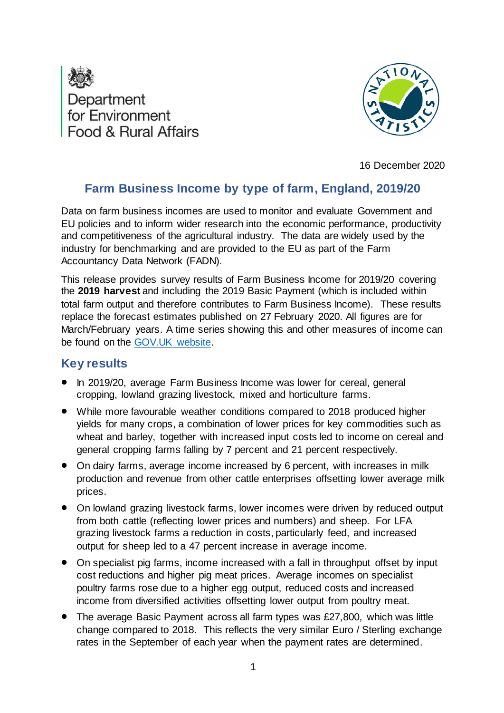



16 December 2020

# **Farm Business Income by type of farm, England, 2019/20**

Data on farm business incomes are used to monitor and evaluate Government and EU policies and to inform wider research into the economic performance, productivity and competitiveness of the agricultural industry. The data are widely used by the industry for benchmarking and are provided to the EU as part of the Farm Accountancy Data Network (FADN).

This release provides survey results of Farm Business Income for 2019/20 covering the **2019 harvest** and including the 2019 Basic Payment (which is included within total farm output and therefore contributes to Farm Business Income). These results replace the forecast estimates published on 27 February 2020. All figures are for March/February years. A time series showing this and other measures of income can be found on the [GOV.UK website.](https://www.gov.uk/government/statistical-data-sets/farm-business-income-net-farm-income-and-cash-income-time-series)

# **Key results**

- In 2019/20, average Farm Business Income was lower for cereal, general cropping, lowland grazing livestock, mixed and horticulture farms.
- While more favourable weather conditions compared to 2018 produced higher yields for many crops, a combination of lower prices for key commodities such as wheat and barley, together with increased input costs led to income on cereal and general cropping farms falling by 7 percent and 21 percent respectively.
- On dairy farms, average income increased by 6 percent, with increases in milk production and revenue from other cattle enterprises offsetting lower average milk prices.
- On lowland grazing livestock farms, lower incomes were driven by reduced output from both cattle (reflecting lower prices and numbers) and sheep. For LFA grazing livestock farms a reduction in costs, particularly feed, and increased output for sheep led to a 47 percent increase in average income.
- On specialist pig farms, income increased with a fall in throughput offset by input cost reductions and higher pig meat prices. Average incomes on specialist poultry farms rose due to a higher egg output, reduced costs and increased income from diversified activities offsetting lower output from poultry meat.
- The average Basic Payment across all farm types was £27,800, which was little change compared to 2018. This reflects the very similar Euro / Sterling exchange rates in the September of each year when the payment rates are determined.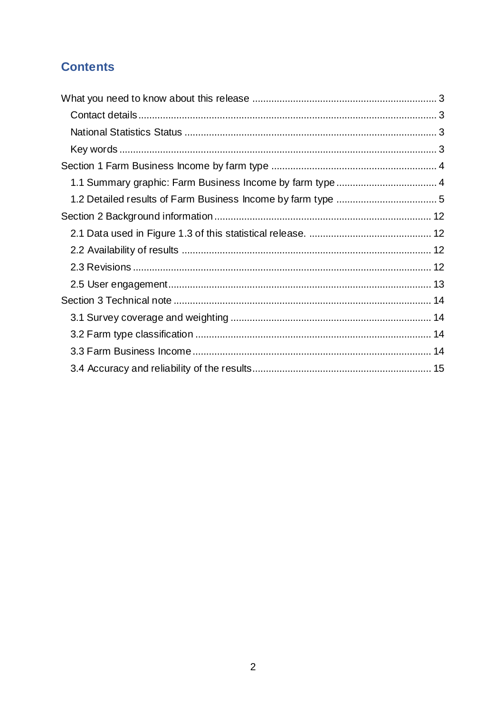# **Contents**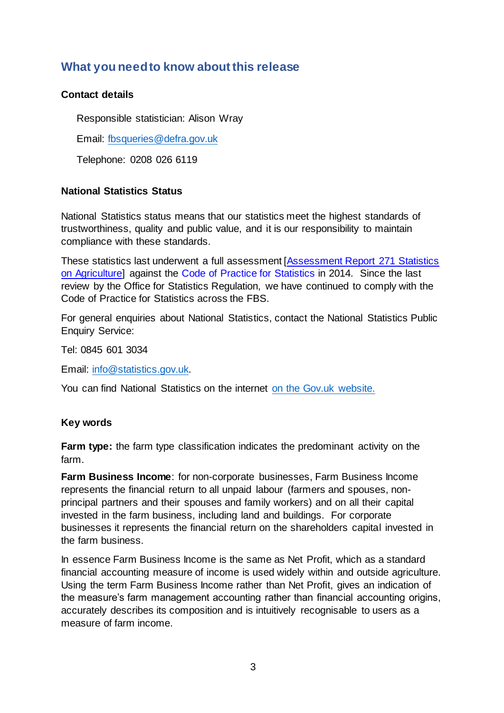# <span id="page-2-0"></span>**What you need to know about this release**

### <span id="page-2-1"></span>**Contact details**

Responsible statistician: Alison Wray

Email: [fbsqueries@defra.gov.uk](mailto:fbsqueries@defra.gov.uk)

Telephone: 0208 026 6119

### <span id="page-2-2"></span>**National Statistics Status**

National Statistics status means that our statistics meet the highest standards of trustworthiness, quality and public value, and it is our responsibility to maintain compliance with these standards.

These statistics last underwent a full assessment [\[Assessment Report 271 Statistics](https://www.statisticsauthority.gov.uk/wp-content/uploads/2015/11/images-assessmentreport271statisticsonagricultur_tcm97-43550.pdf)  [on Agriculture\]](https://www.statisticsauthority.gov.uk/wp-content/uploads/2015/11/images-assessmentreport271statisticsonagricultur_tcm97-43550.pdf) against the [Code of Practice for Statistics](https://www.statisticsauthority.gov.uk/code-of-practice/) in 2014. Since the last review by the Office for Statistics Regulation, we have continued to comply with the Code of Practice for Statistics across the FBS.

For general enquiries about National Statistics, contact the National Statistics Public Enquiry Service:

Tel: 0845 601 3034

Email: [info@statistics.gov.uk.](mailto:info@statistics.gov.uk) 

You can find National Statistics on the internet [on the Gov.uk](http://www.statistics.gov.uk/) website.

### <span id="page-2-3"></span>**Key words**

**Farm type:** the farm type classification indicates the predominant activity on the farm.

**Farm Business Income**: for non-corporate businesses, Farm Business Income represents the financial return to all unpaid labour (farmers and spouses, nonprincipal partners and their spouses and family workers) and on all their capital invested in the farm business, including land and buildings. For corporate businesses it represents the financial return on the shareholders capital invested in the farm business.

In essence Farm Business Income is the same as Net Profit, which as a standard financial accounting measure of income is used widely within and outside agriculture. Using the term Farm Business Income rather than Net Profit, gives an indication of the measure's farm management accounting rather than financial accounting origins, accurately describes its composition and is intuitively recognisable to users as a measure of farm income.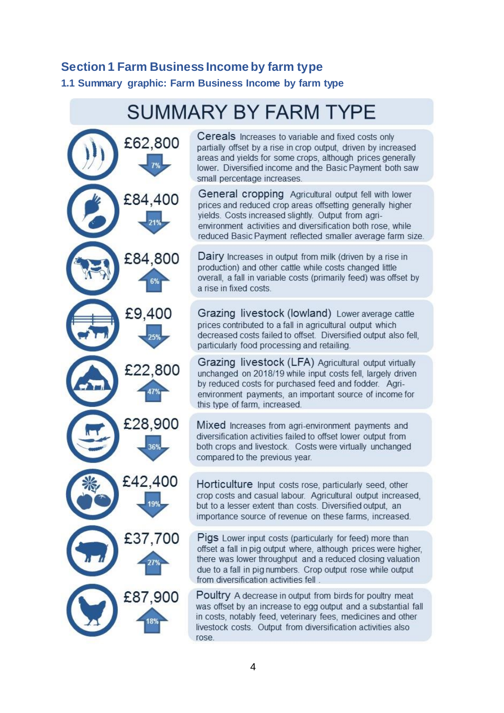# <span id="page-3-0"></span>**Section 1 Farm Business Income by farm type**

<span id="page-3-1"></span>**1.1 Summary graphic: Farm Business Income by farm type**

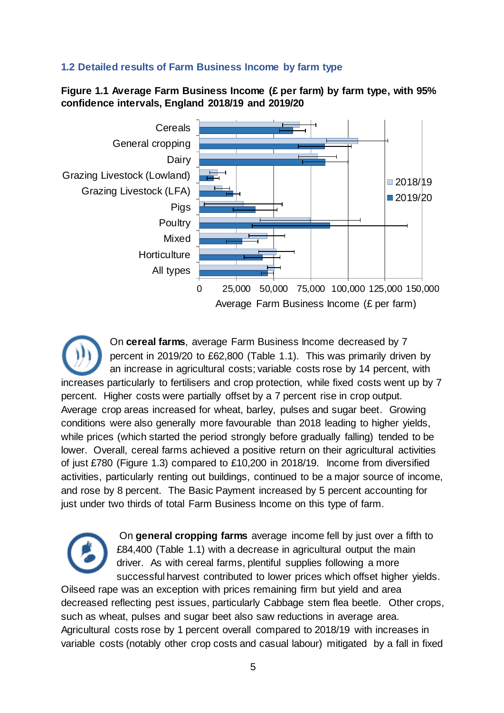## <span id="page-4-0"></span>**1.2 Detailed results of Farm Business Income by farm type**

**Figure 1.1 Average Farm Business Income (£ per farm) by farm type, with 95% confidence intervals, England 2018/19 and 2019/20**



On **cereal farms**, average Farm Business Income decreased by 7 percent in 2019/20 to £62,800 (Table 1.1). This was primarily driven by an increase in agricultural costs; variable costs rose by 14 percent, with increases particularly to fertilisers and crop protection, while fixed costs went up by 7 percent. Higher costs were partially offset by a 7 percent rise in crop output. Average crop areas increased for wheat, barley, pulses and sugar beet. Growing conditions were also generally more favourable than 2018 leading to higher yields, while prices (which started the period strongly before gradually falling) tended to be lower. Overall, cereal farms achieved a positive return on their agricultural activities of just £780 (Figure 1.3) compared to £10,200 in 2018/19. Income from diversified activities, particularly renting out buildings, continued to be a major source of income, and rose by 8 percent. The Basic Payment increased by 5 percent accounting for just under two thirds of total Farm Business Income on this type of farm.

> On **general cropping farms** average income fell by just over a fifth to £84,400 (Table 1.1) with a decrease in agricultural output the main driver. As with cereal farms, plentiful supplies following a more successful harvest contributed to lower prices which offset higher yields.

Oilseed rape was an exception with prices remaining firm but yield and area decreased reflecting pest issues, particularly Cabbage stem flea beetle. Other crops, such as wheat, pulses and sugar beet also saw reductions in average area. Agricultural costs rose by 1 percent overall compared to 2018/19 with increases in variable costs (notably other crop costs and casual labour) mitigated by a fall in fixed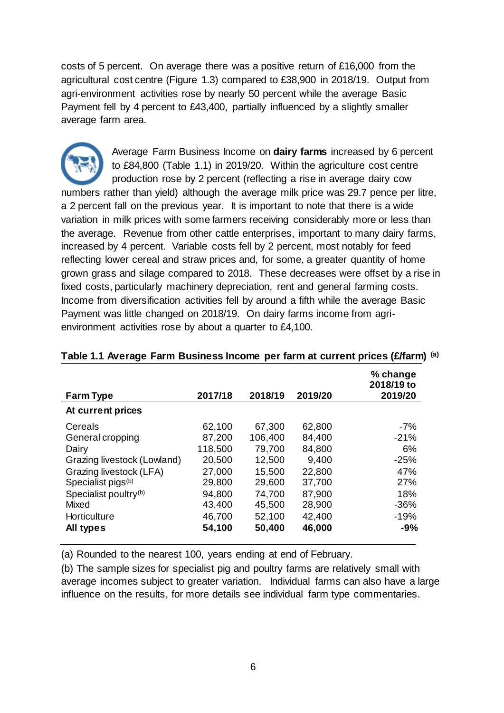costs of 5 percent. On average there was a positive return of £16,000 from the agricultural cost centre (Figure 1.3) compared to £38,900 in 2018/19. Output from agri-environment activities rose by nearly 50 percent while the average Basic Payment fell by 4 percent to £43,400, partially influenced by a slightly smaller average farm area.

Average Farm Business Income on **dairy farms** increased by 6 percent to £84,800 (Table 1.1) in 2019/20. Within the agriculture cost centre production rose by 2 percent (reflecting a rise in average dairy cow numbers rather than yield) although the average milk price was 29.7 pence per litre, a 2 percent fall on the previous year. It is important to note that there is a wide variation in milk prices with some farmers receiving considerably more or less than the average. Revenue from other cattle enterprises, important to many dairy farms, increased by 4 percent. Variable costs fell by 2 percent, most notably for feed reflecting lower cereal and straw prices and, for some, a greater quantity of home grown grass and silage compared to 2018. These decreases were offset by a rise in fixed costs, particularly machinery depreciation, rent and general farming costs. Income from diversification activities fell by around a fifth while the average Basic Payment was little changed on 2018/19. On dairy farms income from agrienvironment activities rose by about a quarter to £4,100.

| <b>Farm Type</b>                  | 2017/18 | 2018/19 | 2019/20 | % change<br>2018/19 to<br>2019/20 |
|-----------------------------------|---------|---------|---------|-----------------------------------|
| At current prices                 |         |         |         |                                   |
| Cereals                           | 62,100  | 67,300  | 62,800  | $-7%$                             |
| General cropping                  | 87,200  | 106,400 | 84,400  | $-21%$                            |
| Dairy                             | 118,500 | 79,700  | 84,800  | 6%                                |
| Grazing livestock (Lowland)       | 20,500  | 12,500  | 9,400   | $-25%$                            |
| Grazing livestock (LFA)           | 27,000  | 15,500  | 22,800  | 47%                               |
| Specialist pigs <sup>(b)</sup>    | 29,800  | 29,600  | 37,700  | <b>27%</b>                        |
| Specialist poultry <sup>(b)</sup> | 94,800  | 74,700  | 87,900  | 18%                               |
| Mixed                             | 43,400  | 45,500  | 28,900  | $-36%$                            |
| Horticulture                      | 46,700  | 52,100  | 42,400  | $-19%$                            |
| All types                         | 54,100  | 50,400  | 46,000  | $-9%$                             |

### **Table 1.1 Average Farm Business Income per farm at current prices (£/farm) (a)**

(a) Rounded to the nearest 100, years ending at end of February.

(b) The sample sizes for specialist pig and poultry farms are relatively small with average incomes subject to greater variation. Individual farms can also have a large influence on the results, for more details see individual farm type commentaries.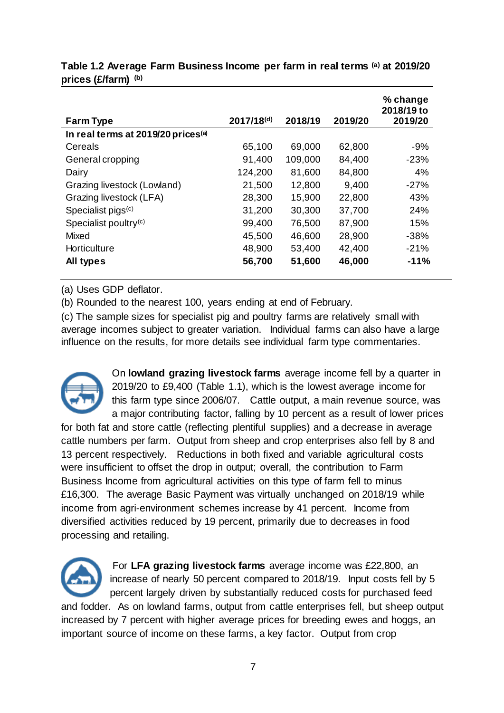| <b>Farm Type</b>                               | $2017/18^{(d)}$ | 2018/19 | 2019/20 | % change<br>2018/19 to<br>2019/20 |
|------------------------------------------------|-----------------|---------|---------|-----------------------------------|
| In real terms at 2019/20 prices <sup>(a)</sup> |                 |         |         |                                   |
| Cereals                                        | 65,100          | 69,000  | 62,800  | $-9%$                             |
| General cropping                               | 91,400          | 109,000 | 84,400  | $-23%$                            |
| Dairy                                          | 124,200         | 81,600  | 84,800  | 4%                                |
| Grazing livestock (Lowland)                    | 21,500          | 12,800  | 9,400   | $-27%$                            |
| Grazing livestock (LFA)                        | 28,300          | 15,900  | 22,800  | 43%                               |
| Specialist pigs <sup>(c)</sup>                 | 31,200          | 30,300  | 37,700  | 24%                               |
| Specialist poultry $(c)$                       | 99,400          | 76,500  | 87,900  | 15%                               |
| Mixed                                          | 45,500          | 46,600  | 28,900  | $-38%$                            |
| Horticulture                                   | 48,900          | 53,400  | 42,400  | $-21%$                            |
| All types                                      | 56,700          | 51,600  | 46,000  | $-11%$                            |

**Table 1.2 Average Farm Business Income per farm in real terms (a) at 2019/20 prices (£/farm) (b)**

(a) Uses GDP deflator.

(b) Rounded to the nearest 100, years ending at end of February.

(c) The sample sizes for specialist pig and poultry farms are relatively small with average incomes subject to greater variation. Individual farms can also have a large influence on the results, for more details see individual farm type commentaries.



On **lowland grazing livestock farms** average income fell by a quarter in 2019/20 to £9,400 (Table 1.1), which is the lowest average income for this farm type since 2006/07. Cattle output, a main revenue source, was a major contributing factor, falling by 10 percent as a result of lower prices

for both fat and store cattle (reflecting plentiful supplies) and a decrease in average cattle numbers per farm. Output from sheep and crop enterprises also fell by 8 and 13 percent respectively. Reductions in both fixed and variable agricultural costs were insufficient to offset the drop in output; overall, the contribution to Farm Business Income from agricultural activities on this type of farm fell to minus £16,300. The average Basic Payment was virtually unchanged on 2018/19 while income from agri-environment schemes increase by 41 percent. Income from diversified activities reduced by 19 percent, primarily due to decreases in food processing and retailing.



 For **LFA grazing livestock farms** average income was £22,800, an increase of nearly 50 percent compared to 2018/19. Input costs fell by 5 percent largely driven by substantially reduced costs for purchased feed

and fodder. As on lowland farms, output from cattle enterprises fell, but sheep output increased by 7 percent with higher average prices for breeding ewes and hoggs, an important source of income on these farms, a key factor. Output from crop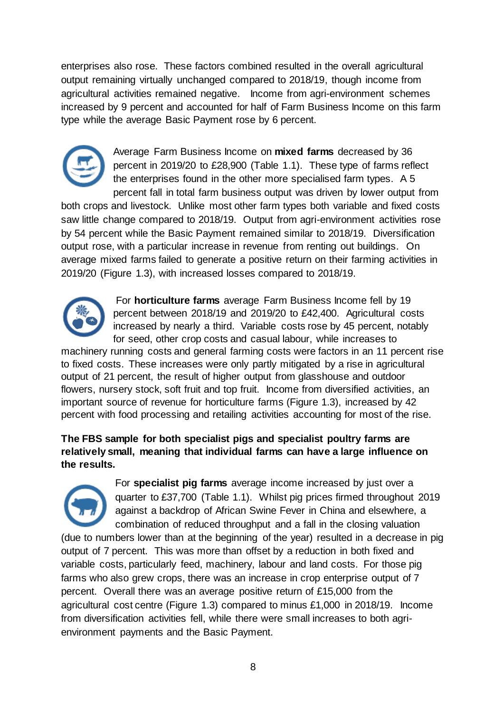enterprises also rose. These factors combined resulted in the overall agricultural output remaining virtually unchanged compared to 2018/19, though income from agricultural activities remained negative. Income from agri-environment schemes increased by 9 percent and accounted for half of Farm Business Income on this farm type while the average Basic Payment rose by 6 percent.



Average Farm Business Income on **mixed farms** decreased by 36 percent in 2019/20 to £28,900 (Table 1.1). These type of farms reflect the enterprises found in the other more specialised farm types. A 5 percent fall in total farm business output was driven by lower output from

both crops and livestock. Unlike most other farm types both variable and fixed costs saw little change compared to 2018/19. Output from agri-environment activities rose by 54 percent while the Basic Payment remained similar to 2018/19. Diversification output rose, with a particular increase in revenue from renting out buildings. On average mixed farms failed to generate a positive return on their farming activities in 2019/20 (Figure 1.3), with increased losses compared to 2018/19.



 For **horticulture farms** average Farm Business Income fell by 19 percent between 2018/19 and 2019/20 to £42,400. Agricultural costs increased by nearly a third. Variable costs rose by 45 percent, notably for seed, other crop costs and casual labour, while increases to

machinery running costs and general farming costs were factors in an 11 percent rise to fixed costs. These increases were only partly mitigated by a rise in agricultural output of 21 percent, the result of higher output from glasshouse and outdoor flowers, nursery stock, soft fruit and top fruit. Income from diversified activities, an important source of revenue for horticulture farms (Figure 1.3), increased by 42 percent with food processing and retailing activities accounting for most of the rise.

**The FBS sample for both specialist pigs and specialist poultry farms are relatively small, meaning that individual farms can have a large influence on the results.** 



For **specialist pig farms** average income increased by just over a quarter to £37,700 (Table 1.1). Whilst pig prices firmed throughout 2019 against a backdrop of African Swine Fever in China and elsewhere, a combination of reduced throughput and a fall in the closing valuation

(due to numbers lower than at the beginning of the year) resulted in a decrease in pig output of 7 percent. This was more than offset by a reduction in both fixed and variable costs, particularly feed, machinery, labour and land costs. For those pig farms who also grew crops, there was an increase in crop enterprise output of 7 percent. Overall there was an average positive return of £15,000 from the agricultural cost centre (Figure 1.3) compared to minus £1,000 in 2018/19. Income from diversification activities fell, while there were small increases to both agrienvironment payments and the Basic Payment.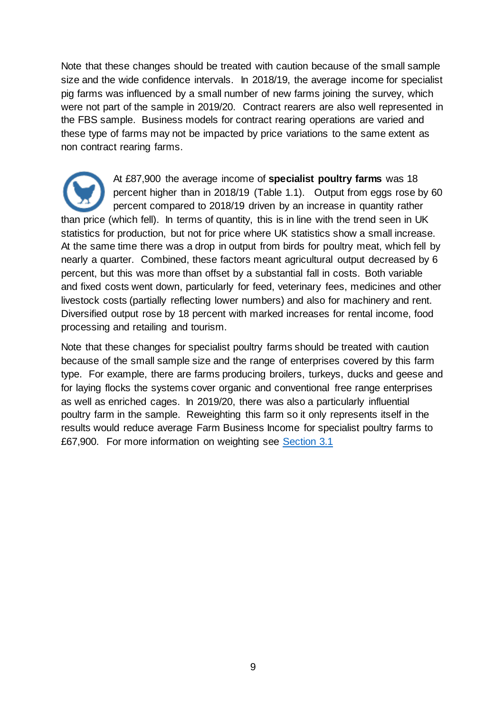Note that these changes should be treated with caution because of the small sample size and the wide confidence intervals. In 2018/19, the average income for specialist pig farms was influenced by a small number of new farms joining the survey, which were not part of the sample in 2019/20. Contract rearers are also well represented in the FBS sample. Business models for contract rearing operations are varied and these type of farms may not be impacted by price variations to the same extent as non contract rearing farms.

At £87,900 the average income of **specialist poultry farms** was 18 percent higher than in 2018/19 (Table 1.1). Output from eggs rose by 60 percent compared to 2018/19 driven by an increase in quantity rather than price (which fell). In terms of quantity, this is in line with the trend seen in UK statistics for production, but not for price where UK statistics show a small increase. At the same time there was a drop in output from birds for poultry meat, which fell by nearly a quarter. Combined, these factors meant agricultural output decreased by 6 percent, but this was more than offset by a substantial fall in costs. Both variable and fixed costs went down, particularly for feed, veterinary fees, medicines and other livestock costs (partially reflecting lower numbers) and also for machinery and rent. Diversified output rose by 18 percent with marked increases for rental income, food processing and retailing and tourism.

Note that these changes for specialist poultry farms should be treated with caution because of the small sample size and the range of enterprises covered by this farm type. For example, there are farms producing broilers, turkeys, ducks and geese and for laying flocks the systems cover organic and conventional free range enterprises as well as enriched cages. In 2019/20, there was also a particularly influential poultry farm in the sample. Reweighting this farm so it only represents itself in the results would reduce average Farm Business Income for specialist poultry farms to £67,900. For more information on weighting see [Section 3.1](#page-13-0)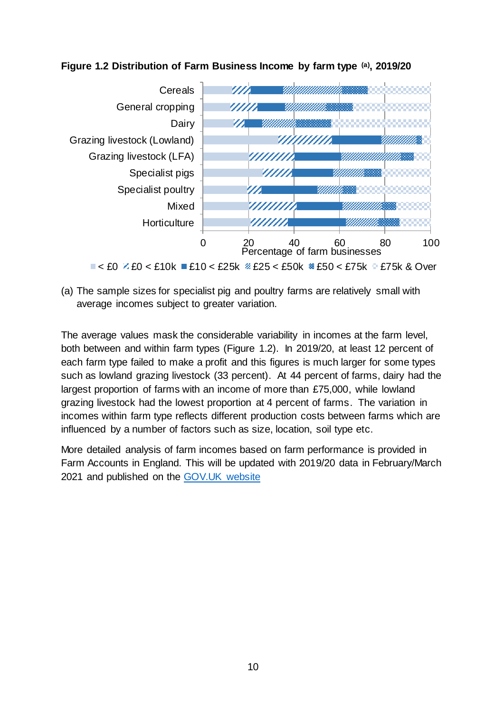



(a) The sample sizes for specialist pig and poultry farms are relatively small with average incomes subject to greater variation.

The average values mask the considerable variability in incomes at the farm level, both between and within farm types (Figure 1.2). In 2019/20, at least 12 percent of each farm type failed to make a profit and this figures is much larger for some types such as lowland grazing livestock (33 percent). At 44 percent of farms, dairy had the largest proportion of farms with an income of more than £75,000, while lowland grazing livestock had the lowest proportion at 4 percent of farms. The variation in incomes within farm type reflects different production costs between farms which are influenced by a number of factors such as size, location, soil type etc.

More detailed analysis of farm incomes based on farm performance is provided in Farm Accounts in England. This will be updated with 2019/20 data in February/March 2021 and published on the [GOV.UK website](https://www.gov.uk/government/collections/farm-business-survey)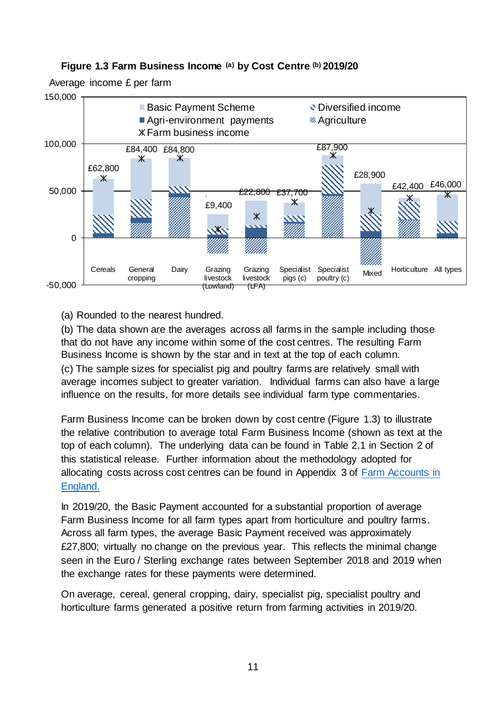

### **Figure 1.3 Farm Business Income (a) by Cost Centre (b) 2019/20**

(a) Rounded to the nearest hundred.

(b) The data shown are the averages across all farms in the sample including those that do not have any income within some of the cost centres. The resulting Farm Business Income is shown by the star and in text at the top of each column. (c) The sample sizes for specialist pig and poultry farms are relatively small with average incomes subject to greater variation. Individual farms can also have a large influence on the results, for more details see individual farm type commentaries.

Farm Business Income can be broken down by cost centre (Figure 1.3) to illustrate the relative contribution to average total Farm Business Income (shown as text at the top of each column). The underlying data can be found in Table 2.1 in Section 2 of this statistical release. Further information about the methodology adopted for allocating costs across cost centres can be found in Appendix 3 of [Farm Accounts in](https://www.gov.uk/government/statistics/farm-accounts-in-england)  [England.](https://www.gov.uk/government/statistics/farm-accounts-in-england) 

In 2019/20, the Basic Payment accounted for a substantial proportion of average Farm Business Income for all farm types apart from horticulture and poultry farms. Across all farm types, the average Basic Payment received was approximately £27,800; virtually no change on the previous year. This reflects the minimal change seen in the Euro / Sterling exchange rates between September 2018 and 2019 when the exchange rates for these payments were determined.

On average, cereal, general cropping, dairy, specialist pig, specialist poultry and horticulture farms generated a positive return from farming activities in 2019/20.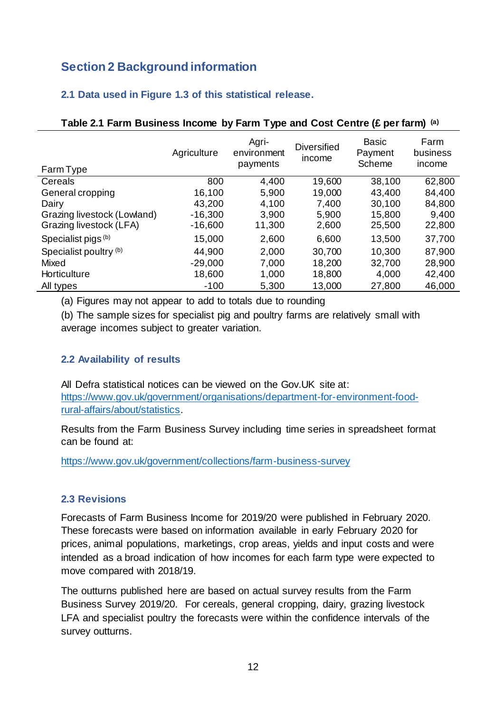# <span id="page-11-0"></span>**Section 2 Background information**

## <span id="page-11-1"></span>**2.1 Data used in Figure 1.3 of this statistical release.**

| Farm Type                   | Agriculture | Agri-<br>environment<br>payments | <b>Diversified</b><br>income | <b>Basic</b><br>Payment<br>Scheme | Farm<br>business<br>income |
|-----------------------------|-------------|----------------------------------|------------------------------|-----------------------------------|----------------------------|
| Cereals                     | 800         | 4,400                            | 19,600                       | 38,100                            | 62,800                     |
| General cropping            | 16,100      | 5,900                            | 19,000                       | 43,400                            | 84,400                     |
| Dairy                       | 43,200      | 4,100                            | 7,400                        | 30,100                            | 84,800                     |
| Grazing livestock (Lowland) | $-16,300$   | 3,900                            | 5,900                        | 15,800                            | 9,400                      |
| Grazing livestock (LFA)     | $-16,600$   | 11,300                           | 2,600                        | 25,500                            | 22,800                     |
| Specialist pigs (b)         | 15,000      | 2,600                            | 6,600                        | 13,500                            | 37,700                     |
| Specialist poultry (b)      | 44,900      | 2,000                            | 30,700                       | 10,300                            | 87,900                     |
| Mixed                       | $-29,000$   | 7,000                            | 18,200                       | 32,700                            | 28,900                     |
| Horticulture                | 18,600      | 1,000                            | 18,800                       | 4,000                             | 42,400                     |
| All types                   | $-100$      | 5,300                            | 13,000                       | 27,800                            | 46,000                     |

#### **Table 2.1 Farm Business Income by Farm Type and Cost Centre (£ per farm) (a)**

(a) Figures may not appear to add to totals due to rounding

(b) The sample sizes for specialist pig and poultry farms are relatively small with average incomes subject to greater variation.

## <span id="page-11-2"></span>**2.2 Availability of results**

All Defra statistical notices can be viewed on the Gov.UK site at: [https://www.gov.uk/government/organisations/department-for-environment-food](https://www.gov.uk/government/organisations/department-for-environment-food-rural-affairs/about/statistics)[rural-affairs/about/statistics.](https://www.gov.uk/government/organisations/department-for-environment-food-rural-affairs/about/statistics)

Results from the Farm Business Survey including time series in spreadsheet format can be found at:

<https://www.gov.uk/government/collections/farm-business-survey>

## <span id="page-11-3"></span>**2.3 Revisions**

Forecasts of Farm Business Income for 2019/20 were published in February 2020. These forecasts were based on information available in early February 2020 for prices, animal populations, marketings, crop areas, yields and input costs and were intended as a broad indication of how incomes for each farm type were expected to move compared with 2018/19.

The outturns published here are based on actual survey results from the Farm Business Survey 2019/20. For cereals, general cropping, dairy, grazing livestock LFA and specialist poultry the forecasts were within the confidence intervals of the survey outturns.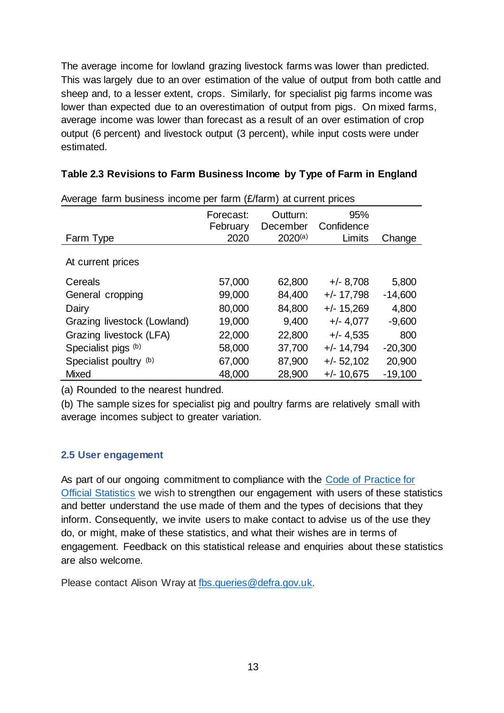The average income for lowland grazing livestock farms was lower than predicted. This was largely due to an over estimation of the value of output from both cattle and sheep and, to a lesser extent, crops. Similarly, for specialist pig farms income was lower than expected due to an overestimation of output from pigs. On mixed farms, average income was lower than forecast as a result of an over estimation of crop output (6 percent) and livestock output (3 percent), while input costs were under estimated.

| Table 2.3 Revisions to Farm Business Income by Type of Farm in England |  |  |
|------------------------------------------------------------------------|--|--|
|                                                                        |  |  |

| $n$ worldge Tarm business income por Tarm (Zhann) at current phoes |                       |                      |                   |           |
|--------------------------------------------------------------------|-----------------------|----------------------|-------------------|-----------|
|                                                                    | Forecast:<br>February | Outturn:<br>December | 95%<br>Confidence |           |
| Farm Type                                                          | 2020                  | $2020^{(a)}$         | Limits            | Change    |
| At current prices                                                  |                       |                      |                   |           |
| Cereals                                                            | 57,000                | 62,800               | $+/- 8,708$       | 5,800     |
| General cropping                                                   | 99,000                | 84,400               | $+/- 17,798$      | $-14,600$ |
| Dairy                                                              | 80,000                | 84,800               | $+/- 15,269$      | 4,800     |
| Grazing livestock (Lowland)                                        | 19,000                | 9,400                | $+/- 4,077$       | $-9,600$  |
| Grazing livestock (LFA)                                            | 22,000                | 22,800               | $+/- 4.535$       | 800       |
| Specialist pigs (b)                                                | 58,000                | 37,700               | $+/- 14,794$      | $-20,300$ |
| Specialist poultry (b)                                             | 67,000                | 87,900               | $+/- 52,102$      | 20,900    |
| <b>Mixed</b>                                                       | 48,000                | 28,900               | $+/- 10,675$      | $-19,100$ |

Average farm business income per farm (£/farm) at current prices

(a) Rounded to the nearest hundred.

(b) The sample sizes for specialist pig and poultry farms are relatively small with average incomes subject to greater variation.

## <span id="page-12-0"></span>**2.5 User engagement**

As part of our ongoing commitment to compliance with the [Code of Practice for](https://code.statisticsauthority.gov.uk/)  [Official Statistics](https://code.statisticsauthority.gov.uk/) we wish to strengthen our engagement with users of these statistics and better understand the use made of them and the types of decisions that they inform. Consequently, we invite users to make contact to advise us of the use they do, or might, make of these statistics, and what their wishes are in terms of engagement. Feedback on this statistical release and enquiries about these statistics are also welcome.

Please contact Alison Wray at [fbs.queries@defra.gov.uk.](mailto:fbs.queries@defra.gov.uk)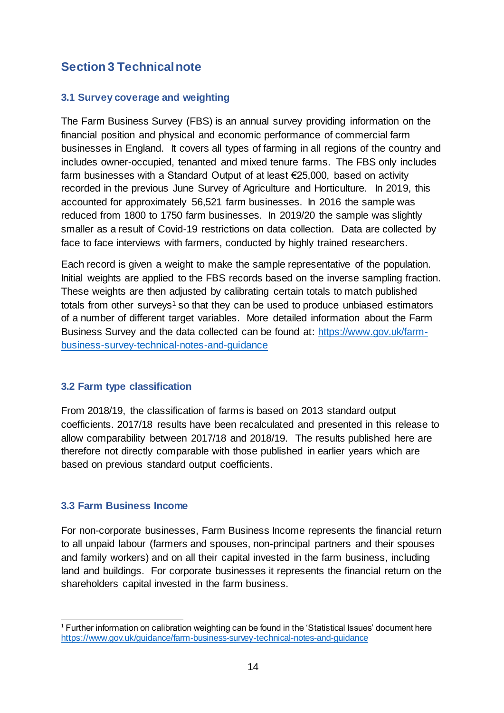# <span id="page-13-0"></span>**Section 3 Technical note**

## <span id="page-13-1"></span>**3.1 Survey coverage and weighting**

The Farm Business Survey (FBS) is an annual survey providing information on the financial position and physical and economic performance of commercial farm businesses in England. It covers all types of farming in all regions of the country and includes owner-occupied, tenanted and mixed tenure farms. The FBS only includes farm businesses with a Standard Output of at least €25,000, based on activity recorded in the previous June Survey of Agriculture and Horticulture. In 2019, this accounted for approximately 56,521 farm businesses. In 2016 the sample was reduced from 1800 to 1750 farm businesses. In 2019/20 the sample was slightly smaller as a result of Covid-19 restrictions on data collection. Data are collected by face to face interviews with farmers, conducted by highly trained researchers.

Each record is given a weight to make the sample representative of the population. Initial weights are applied to the FBS records based on the inverse sampling fraction. These weights are then adjusted by calibrating certain totals to match published totals from other surveys<sup>1</sup> so that they can be used to produce unbiased estimators of a number of different target variables. More detailed information about the Farm Business Survey and the data collected can be found at: [https://www.gov.uk/farm](https://www.gov.uk/farm-business-survey-technical-notes-and-guidance)[business-survey-technical-notes-and-guidance](https://www.gov.uk/farm-business-survey-technical-notes-and-guidance)

## <span id="page-13-2"></span>**3.2 Farm type classification**

From 2018/19, the classification of farms is based on 2013 standard output coefficients. 2017/18 results have been recalculated and presented in this release to allow comparability between 2017/18 and 2018/19. The results published here are therefore not directly comparable with those published in earlier years which are based on previous standard output coefficients.

## <span id="page-13-3"></span>**3.3 Farm Business Income**

For non-corporate businesses, Farm Business Income represents the financial return to all unpaid labour (farmers and spouses, non-principal partners and their spouses and family workers) and on all their capital invested in the farm business, including land and buildings. For corporate businesses it represents the financial return on the shareholders capital invested in the farm business.

j  $<sup>1</sup>$  Further information on calibration weighting can be found in the 'Statistical Issues' document here</sup> <https://www.gov.uk/guidance/farm-business-survey-technical-notes-and-guidance>